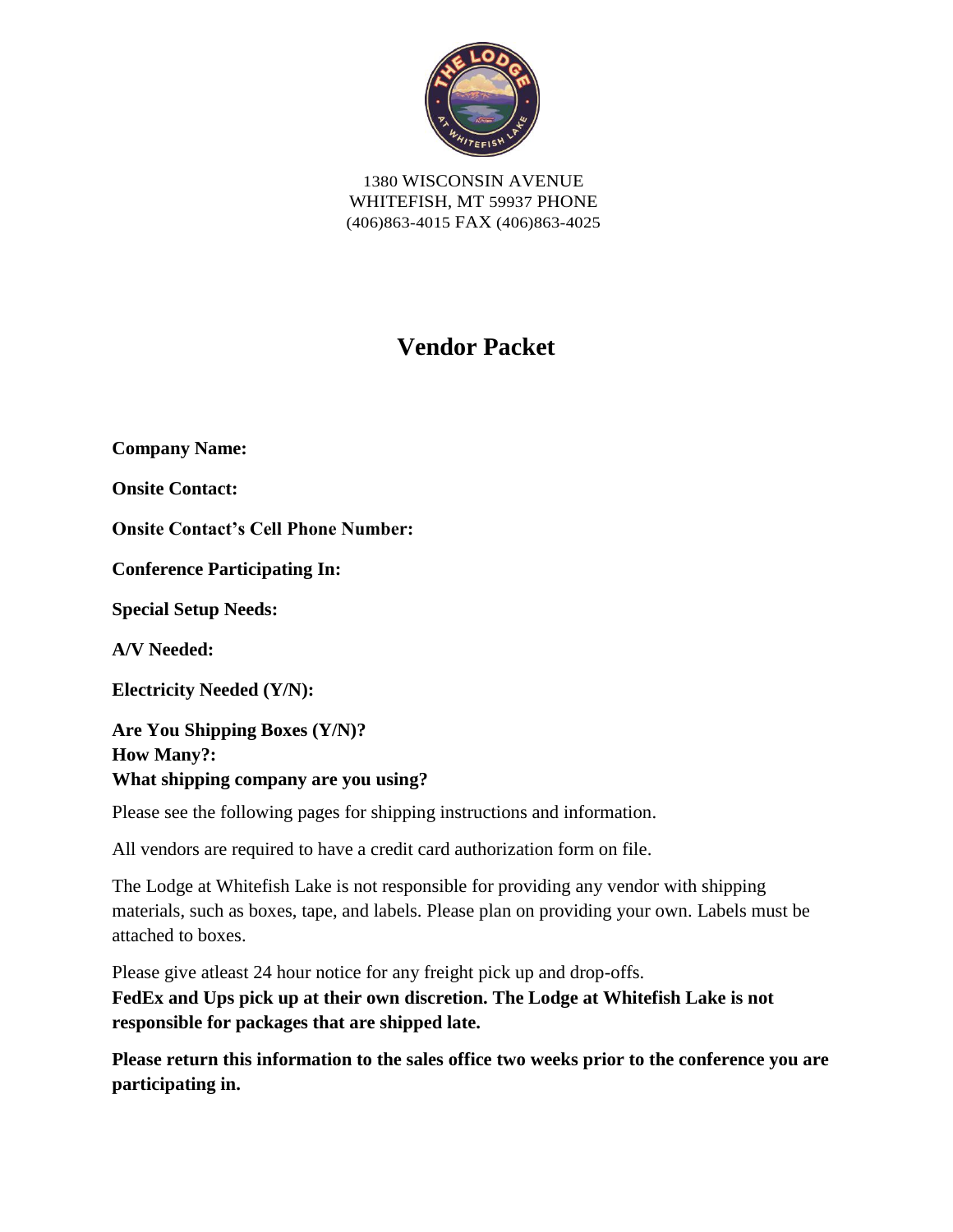

1380 WISCONSIN AVENUE WHITEFISH, MT 59937 PHONE (406)863-4015 FAX (406)863-4025

# **Vendor Packet**

**Company Name: Onsite Contact: Onsite Contact's Cell Phone Number: Conference Participating In: Special Setup Needs: A/V Needed: Electricity Needed (Y/N): Are You Shipping Boxes (Y/N)? How Many?:**

**What shipping company are you using?** 

Please see the following pages for shipping instructions and information.

All vendors are required to have a credit card authorization form on file.

The Lodge at Whitefish Lake is not responsible for providing any vendor with shipping materials, such as boxes, tape, and labels. Please plan on providing your own. Labels must be attached to boxes.

Please give atleast 24 hour notice for any freight pick up and drop-offs. **FedEx and Ups pick up at their own discretion. The Lodge at Whitefish Lake is not responsible for packages that are shipped late.** 

**Please return this information to the sales office two weeks prior to the conference you are participating in.**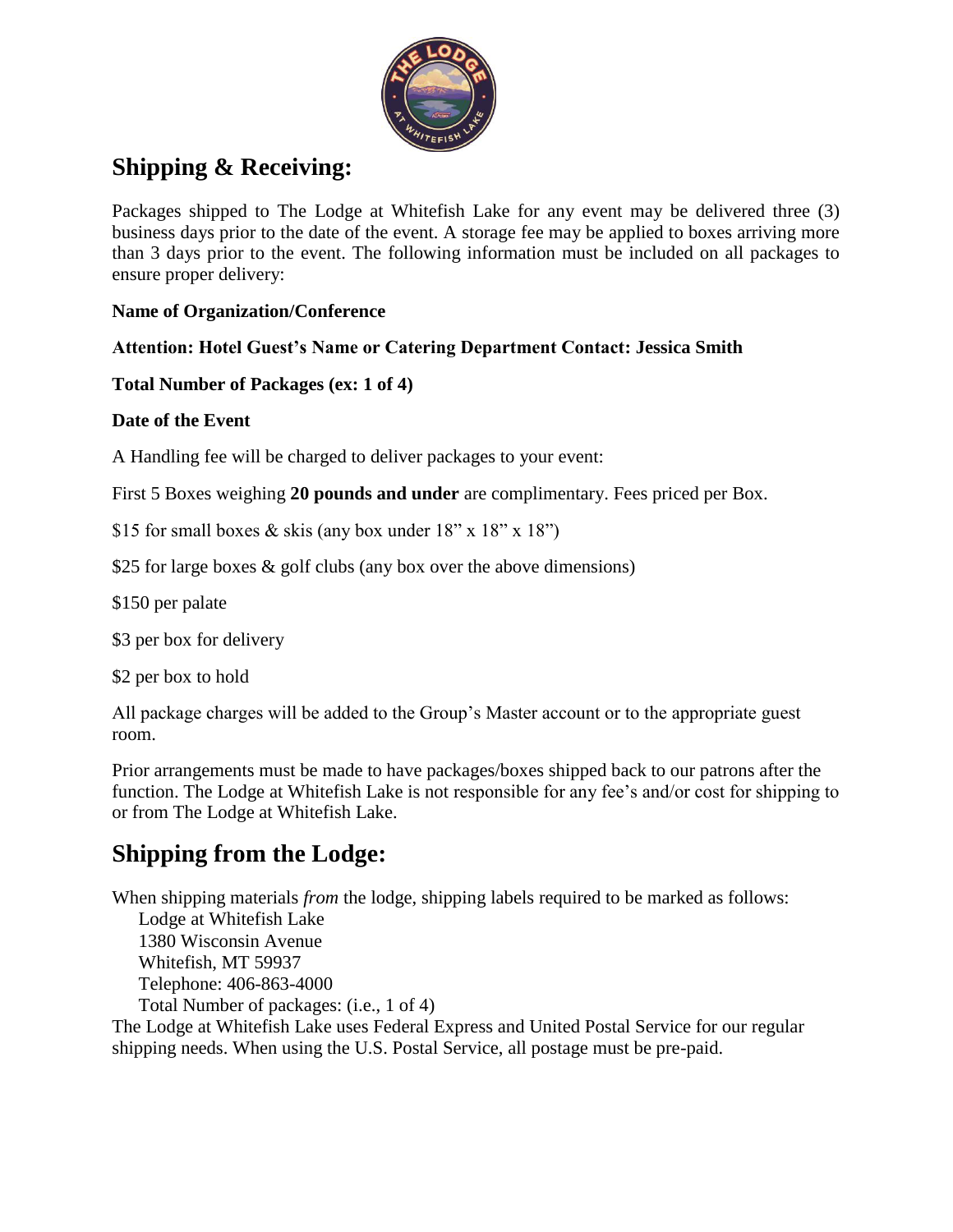

# **Shipping & Receiving:**

Packages shipped to The Lodge at Whitefish Lake for any event may be delivered three (3) business days prior to the date of the event. A storage fee may be applied to boxes arriving more than 3 days prior to the event. The following information must be included on all packages to ensure proper delivery:

### **Name of Organization/Conference**

### **Attention: Hotel Guest's Name or Catering Department Contact: Jessica Smith**

### **Total Number of Packages (ex: 1 of 4)**

#### **Date of the Event**

A Handling fee will be charged to deliver packages to your event:

First 5 Boxes weighing **20 pounds and under** are complimentary. Fees priced per Box.

\$15 for small boxes  $&$  skis (any box under 18" x 18" x 18")

\$25 for large boxes & golf clubs (any box over the above dimensions)

\$150 per palate

\$3 per box for delivery

\$2 per box to hold

All package charges will be added to the Group's Master account or to the appropriate guest room.

Prior arrangements must be made to have packages/boxes shipped back to our patrons after the function. The Lodge at Whitefish Lake is not responsible for any fee's and/or cost for shipping to or from The Lodge at Whitefish Lake.

# **Shipping from the Lodge:**

When shipping materials *from* the lodge, shipping labels required to be marked as follows: Lodge at Whitefish Lake 1380 Wisconsin Avenue Whitefish, MT 59937 Telephone: 406-863-4000 Total Number of packages: (i.e., 1 of 4) The Lodge at Whitefish Lake uses Federal Express and United Postal Service for our regular shipping needs. When using the U.S. Postal Service, all postage must be pre-paid.